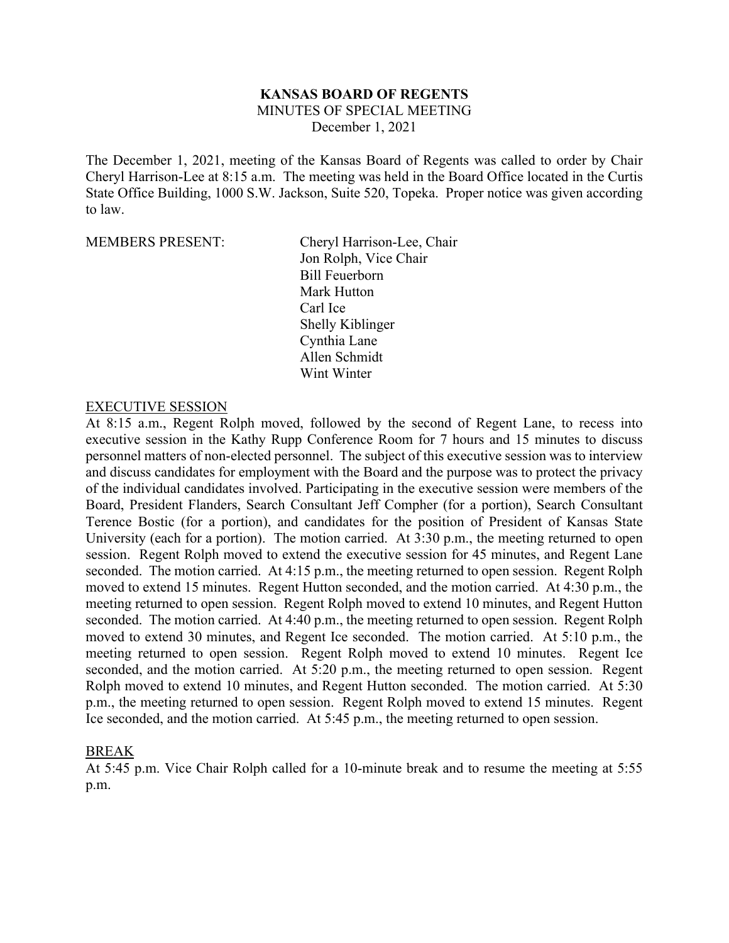# **KANSAS BOARD OF REGENTS**

MINUTES OF SPECIAL MEETING

December 1, 2021

The December 1, 2021, meeting of the Kansas Board of Regents was called to order by Chair Cheryl Harrison-Lee at 8:15 a.m. The meeting was held in the Board Office located in the Curtis State Office Building, 1000 S.W. Jackson, Suite 520, Topeka. Proper notice was given according to law.

MEMBERS PRESENT: Cheryl Harrison-Lee, Chair Jon Rolph, Vice Chair Bill Feuerborn Mark Hutton Carl Ice Shelly Kiblinger Cynthia Lane Allen Schmidt Wint Winter

#### EXECUTIVE SESSION

At 8:15 a.m., Regent Rolph moved, followed by the second of Regent Lane, to recess into executive session in the Kathy Rupp Conference Room for 7 hours and 15 minutes to discuss personnel matters of non-elected personnel. The subject of this executive session was to interview and discuss candidates for employment with the Board and the purpose was to protect the privacy of the individual candidates involved. Participating in the executive session were members of the Board, President Flanders, Search Consultant Jeff Compher (for a portion), Search Consultant Terence Bostic (for a portion), and candidates for the position of President of Kansas State University (each for a portion). The motion carried. At 3:30 p.m., the meeting returned to open session. Regent Rolph moved to extend the executive session for 45 minutes, and Regent Lane seconded. The motion carried. At 4:15 p.m., the meeting returned to open session. Regent Rolph moved to extend 15 minutes. Regent Hutton seconded, and the motion carried. At 4:30 p.m., the meeting returned to open session. Regent Rolph moved to extend 10 minutes, and Regent Hutton seconded. The motion carried. At 4:40 p.m., the meeting returned to open session. Regent Rolph moved to extend 30 minutes, and Regent Ice seconded. The motion carried. At 5:10 p.m., the meeting returned to open session. Regent Rolph moved to extend 10 minutes. Regent Ice seconded, and the motion carried. At 5:20 p.m., the meeting returned to open session. Regent Rolph moved to extend 10 minutes, and Regent Hutton seconded. The motion carried. At 5:30 p.m., the meeting returned to open session. Regent Rolph moved to extend 15 minutes. Regent Ice seconded, and the motion carried. At 5:45 p.m., the meeting returned to open session.

### BREAK

At 5:45 p.m. Vice Chair Rolph called for a 10-minute break and to resume the meeting at 5:55 p.m.